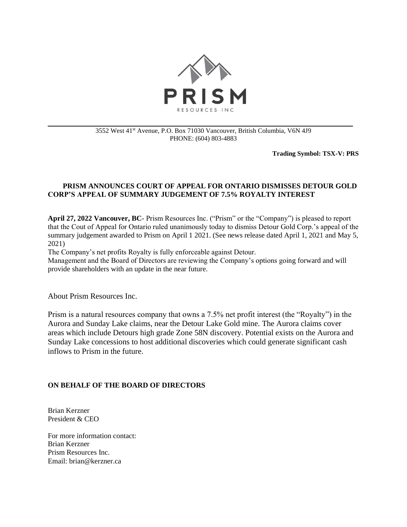

## 3552 West 41st Avenue, P.O. Box 71030 Vancouver, British Columbia, V6N 4J9 PHONE: (604) 803-4883

**Trading Symbol: TSX-V: PRS**

## **PRISM ANNOUNCES COURT OF APPEAL FOR ONTARIO DISMISSES DETOUR GOLD CORP'S APPEAL OF SUMMARY JUDGEMENT OF 7.5% ROYALTY INTEREST**

**April 27, 2022 Vancouver, BC**- Prism Resources Inc. ("Prism" or the "Company") is pleased to report that the Cout of Appeal for Ontario ruled unanimously today to dismiss Detour Gold Corp.'s appeal of the summary judgement awarded to Prism on April 1 2021. (See news release dated April 1, 2021 and May 5, 2021)

The Company's net profits Royalty is fully enforceable against Detour.

Management and the Board of Directors are reviewing the Company's options going forward and will provide shareholders with an update in the near future.

About Prism Resources Inc.

Prism is a natural resources company that owns a 7.5% net profit interest (the "Royalty") in the Aurora and Sunday Lake claims, near the Detour Lake Gold mine. The Aurora claims cover areas which include Detours high grade Zone 58N discovery. Potential exists on the Aurora and Sunday Lake concessions to host additional discoveries which could generate significant cash inflows to Prism in the future.

## **ON BEHALF OF THE BOARD OF DIRECTORS**

Brian Kerzner President & CEO

For more information contact: Brian Kerzner Prism Resources Inc. Email: brian@kerzner.ca